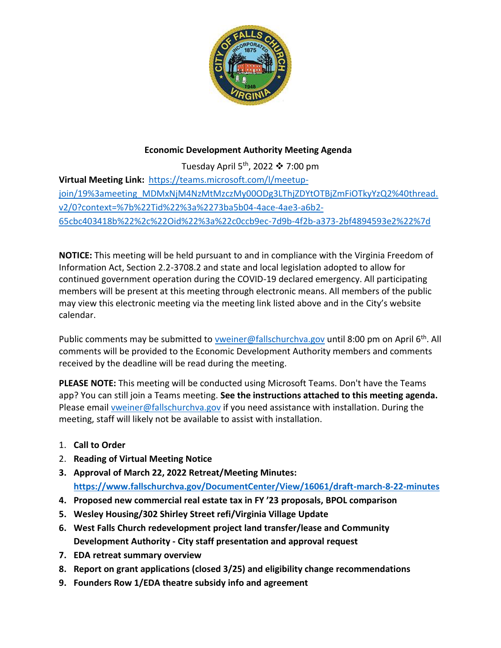

## **Economic Development Authority Meeting Agenda**

Tuesday April 5<sup>th</sup>, 2022  $*$  7:00 pm **Virtual Meeting Link:** [https://teams.microsoft.com/l/meetup](https://teams.microsoft.com/l/meetup-join/19%3ameeting_MDMxNjM4NzMtMzczMy00ODg3LThjZDYtOTBjZmFiOTkyYzQ2%40thread.v2/0?context=%7b%22Tid%22%3a%2273ba5b04-4ace-4ae3-a6b2-65cbc403418b%22%2c%22Oid%22%3a%22c0ccb9ec-7d9b-4f2b-a373-2bf4894593e2%22%7d)[join/19%3ameeting\\_MDMxNjM4NzMtMzczMy00ODg3LThjZDYtOTBjZmFiOTkyYzQ2%40thread.](https://teams.microsoft.com/l/meetup-join/19%3ameeting_MDMxNjM4NzMtMzczMy00ODg3LThjZDYtOTBjZmFiOTkyYzQ2%40thread.v2/0?context=%7b%22Tid%22%3a%2273ba5b04-4ace-4ae3-a6b2-65cbc403418b%22%2c%22Oid%22%3a%22c0ccb9ec-7d9b-4f2b-a373-2bf4894593e2%22%7d) [v2/0?context=%7b%22Tid%22%3a%2273ba5b04-4ace-4ae3-a6b2-](https://teams.microsoft.com/l/meetup-join/19%3ameeting_MDMxNjM4NzMtMzczMy00ODg3LThjZDYtOTBjZmFiOTkyYzQ2%40thread.v2/0?context=%7b%22Tid%22%3a%2273ba5b04-4ace-4ae3-a6b2-65cbc403418b%22%2c%22Oid%22%3a%22c0ccb9ec-7d9b-4f2b-a373-2bf4894593e2%22%7d) [65cbc403418b%22%2c%22Oid%22%3a%22c0ccb9ec-7d9b-4f2b-a373-2bf4894593e2%22%7d](https://teams.microsoft.com/l/meetup-join/19%3ameeting_MDMxNjM4NzMtMzczMy00ODg3LThjZDYtOTBjZmFiOTkyYzQ2%40thread.v2/0?context=%7b%22Tid%22%3a%2273ba5b04-4ace-4ae3-a6b2-65cbc403418b%22%2c%22Oid%22%3a%22c0ccb9ec-7d9b-4f2b-a373-2bf4894593e2%22%7d)

**NOTICE:** This meeting will be held pursuant to and in compliance with the Virginia Freedom of Information Act, Section 2.2-3708.2 and state and local legislation adopted to allow for continued government operation during the COVID-19 declared emergency. All participating members will be present at this meeting through electronic means. All members of the public may view this electronic meeting via the meeting link listed above and in the City's website calendar.

Public comments may be submitted to [vweiner@fallschurchva.gov](mailto:vweiner@fallschurchva.gov) until 8:00 pm on April 6<sup>th</sup>. All comments will be provided to the Economic Development Authority members and comments received by the deadline will be read during the meeting.

**PLEASE NOTE:** This meeting will be conducted using Microsoft Teams. Don't have the Teams app? You can still join a Teams meeting. **See the instructions attached to this meeting agenda.**  Please email [vweiner@fallschurchva.gov](mailto:vweiner@fallschurchva.gov) if you need assistance with installation. During the meeting, staff will likely not be available to assist with installation.

- 1. **Call to Order**
- 2. **Reading of Virtual Meeting Notice**
- **3. Approval of March 22, 2022 Retreat/Meeting Minutes: <https://www.fallschurchva.gov/DocumentCenter/View/16061/draft-march-8-22-minutes>**
- **4. Proposed new commercial real estate tax in FY '23 proposals, BPOL comparison**
- **5. Wesley Housing/302 Shirley Street refi/Virginia Village Update**
- **6. West Falls Church redevelopment project land transfer/lease and Community Development Authority - City staff presentation and approval request**
- **7. EDA retreat summary overview**
- **8. Report on grant applications (closed 3/25) and eligibility change recommendations**
- **9. Founders Row 1/EDA theatre subsidy info and agreement**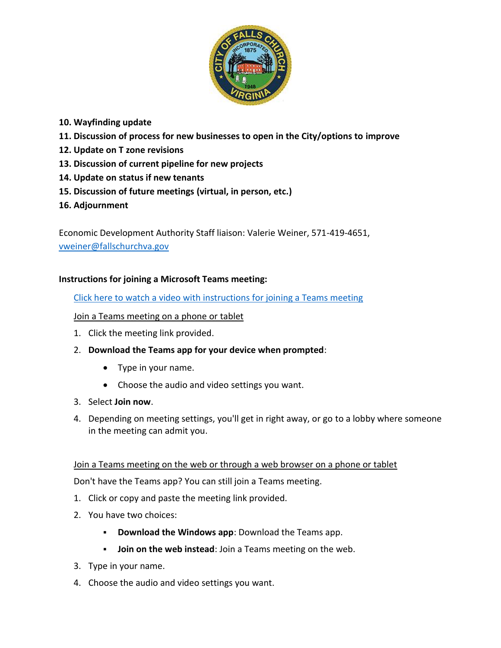

# **10. Wayfinding update**

- **11. Discussion of process for new businesses to open in the City/options to improve**
- **12. Update on T zone revisions**
- **13. Discussion of current pipeline for new projects**
- **14. Update on status if new tenants**
- **15. Discussion of future meetings (virtual, in person, etc.)**
- **16. Adjournment**

Economic Development Authority Staff liaison: Valerie Weiner, 571-419-4651, [vweiner@fallschurchva.gov](mailto:vweiner@fallschurchva.gov)

### **Instructions for joining a Microsoft Teams meeting:**

[Click here to watch a video with instructions for joining a Teams meeting](https://www.microsoft.com/en-us/videoplayer/embed/RE3Oz24?pid=ocpVideo0-innerdiv-oneplayer&postJsllMsg=true&maskLevel=20&market=en-us)

### Join a Teams meeting on a phone or tablet

- 1. Click the meeting link provided.
- 2. **Download the Teams app for your device when prompted**:
	- Type in your name.
	- Choose the audio and video settings you want.
- 3. Select **Join now**.
- 4. Depending on meeting settings, you'll get in right away, or go to a lobby where someone in the meeting can admit you.

### Join a Teams meeting on the web or through a web browser on a phone or tablet

Don't have the Teams app? You can still join a Teams meeting.

- 1. Click or copy and paste the meeting link provided.
- 2. You have two choices:
	- **Download the Windows app**: Download the Teams app.
	- **Join on the web instead**: Join a Teams meeting on the web.
- 3. Type in your name.
- 4. Choose the audio and video settings you want.